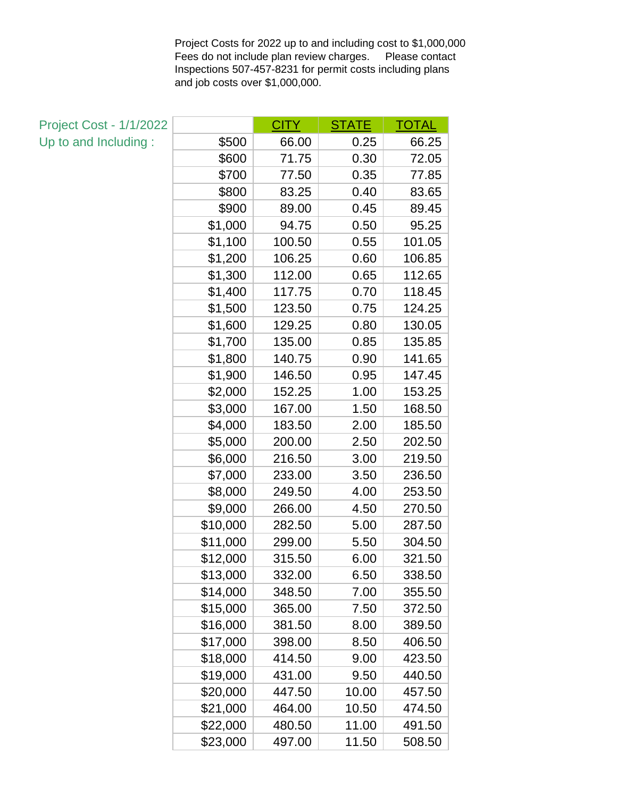Project Costs for 2022 up to and including cost to \$1,000,000 Fees do not include plan review charges. Please contact Inspections 507-457-8231 for permit costs including plans and job costs over \$1,000,000.

| <b>Project Cost - 1/1/2022</b> |          | CITY   | <b>STATE</b> | TOTAL  |
|--------------------------------|----------|--------|--------------|--------|
| Up to and Including:           | \$500    | 66.00  | 0.25         | 66.25  |
|                                | \$600    | 71.75  | 0.30         | 72.05  |
|                                | \$700    | 77.50  | 0.35         | 77.85  |
|                                | \$800    | 83.25  | 0.40         | 83.65  |
|                                | \$900    | 89.00  | 0.45         | 89.45  |
|                                | \$1,000  | 94.75  | 0.50         | 95.25  |
|                                | \$1,100  | 100.50 | 0.55         | 101.05 |
|                                | \$1,200  | 106.25 | 0.60         | 106.85 |
|                                | \$1,300  | 112.00 | 0.65         | 112.65 |
|                                | \$1,400  | 117.75 | 0.70         | 118.45 |
|                                | \$1,500  | 123.50 | 0.75         | 124.25 |
|                                | \$1,600  | 129.25 | 0.80         | 130.05 |
|                                | \$1,700  | 135.00 | 0.85         | 135.85 |
|                                | \$1,800  | 140.75 | 0.90         | 141.65 |
|                                | \$1,900  | 146.50 | 0.95         | 147.45 |
|                                | \$2,000  | 152.25 | 1.00         | 153.25 |
|                                | \$3,000  | 167.00 | 1.50         | 168.50 |
|                                | \$4,000  | 183.50 | 2.00         | 185.50 |
|                                | \$5,000  | 200.00 | 2.50         | 202.50 |
|                                | \$6,000  | 216.50 | 3.00         | 219.50 |
|                                | \$7,000  | 233.00 | 3.50         | 236.50 |
|                                | \$8,000  | 249.50 | 4.00         | 253.50 |
|                                | \$9,000  | 266.00 | 4.50         | 270.50 |
|                                | \$10,000 | 282.50 | 5.00         | 287.50 |
|                                | \$11,000 | 299.00 | 5.50         | 304.50 |
|                                | \$12,000 | 315.50 | 6.00         | 321.50 |
|                                | \$13,000 | 332.00 | 6.50         | 338.50 |
|                                | \$14,000 | 348.50 | 7.00         | 355.50 |
|                                | \$15,000 | 365.00 | 7.50         | 372.50 |
|                                | \$16,000 | 381.50 | 8.00         | 389.50 |
|                                | \$17,000 | 398.00 | 8.50         | 406.50 |
|                                | \$18,000 | 414.50 | 9.00         | 423.50 |
|                                | \$19,000 | 431.00 | 9.50         | 440.50 |
|                                | \$20,000 | 447.50 | 10.00        | 457.50 |
|                                | \$21,000 | 464.00 | 10.50        | 474.50 |
|                                | \$22,000 | 480.50 | 11.00        | 491.50 |
|                                | \$23,000 | 497.00 | 11.50        | 508.50 |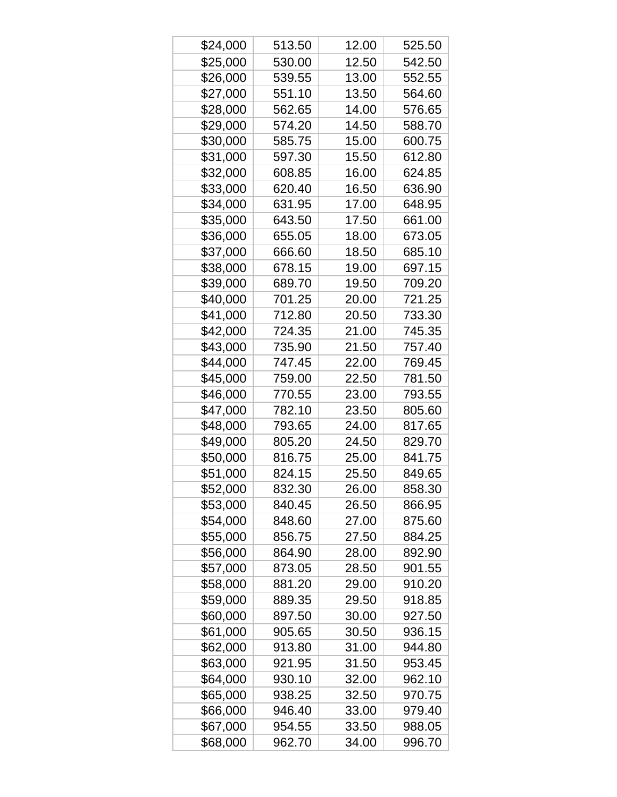| \$24,000 | 513.50 | 12.00 | 525.50 |
|----------|--------|-------|--------|
| \$25,000 | 530.00 | 12.50 | 542.50 |
| \$26,000 | 539.55 | 13.00 | 552.55 |
| \$27,000 | 551.10 | 13.50 | 564.60 |
| \$28,000 | 562.65 | 14.00 | 576.65 |
| \$29,000 | 574.20 | 14.50 | 588.70 |
| \$30,000 | 585.75 | 15.00 | 600.75 |
| \$31,000 | 597.30 | 15.50 | 612.80 |
| \$32,000 | 608.85 | 16.00 | 624.85 |
| \$33,000 | 620.40 | 16.50 | 636.90 |
| \$34,000 | 631.95 | 17.00 | 648.95 |
| \$35,000 | 643.50 | 17.50 | 661.00 |
| \$36,000 | 655.05 | 18.00 | 673.05 |
| \$37,000 | 666.60 | 18.50 | 685.10 |
| \$38,000 | 678.15 | 19.00 | 697.15 |
| \$39,000 | 689.70 | 19.50 | 709.20 |
| \$40,000 | 701.25 | 20.00 | 721.25 |
| \$41,000 | 712.80 | 20.50 | 733.30 |
| \$42,000 | 724.35 | 21.00 | 745.35 |
| \$43,000 | 735.90 | 21.50 | 757.40 |
| \$44,000 | 747.45 | 22.00 | 769.45 |
| \$45,000 | 759.00 | 22.50 | 781.50 |
| \$46,000 | 770.55 | 23.00 | 793.55 |
| \$47,000 | 782.10 | 23.50 | 805.60 |
| \$48,000 | 793.65 | 24.00 | 817.65 |
| \$49,000 | 805.20 | 24.50 | 829.70 |
| \$50,000 | 816.75 | 25.00 | 841.75 |
| \$51,000 | 824.15 | 25.50 | 849.65 |
| \$52,000 | 832.30 | 26.00 | 858.30 |
| \$53,000 | 840.45 | 26.50 | 866.95 |
| \$54,000 | 848.60 | 27.00 | 875.60 |
| \$55,000 | 856.75 | 27.50 | 884.25 |
| \$56,000 | 864.90 | 28.00 | 892.90 |
| \$57,000 | 873.05 | 28.50 | 901.55 |
| \$58,000 | 881.20 | 29.00 | 910.20 |
| \$59,000 | 889.35 | 29.50 | 918.85 |
| \$60,000 | 897.50 | 30.00 | 927.50 |
| \$61,000 | 905.65 | 30.50 | 936.15 |
| \$62,000 | 913.80 | 31.00 | 944.80 |
| \$63,000 | 921.95 | 31.50 | 953.45 |
| \$64,000 | 930.10 | 32.00 | 962.10 |
| \$65,000 | 938.25 | 32.50 | 970.75 |
| \$66,000 | 946.40 | 33.00 | 979.40 |
| \$67,000 | 954.55 | 33.50 | 988.05 |
| \$68,000 | 962.70 | 34.00 | 996.70 |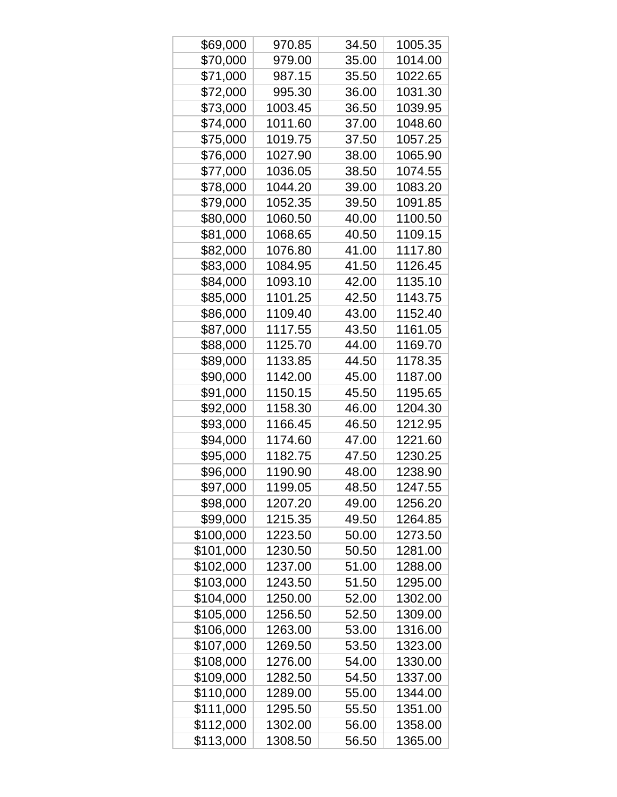| \$69,000  | 970.85  | 34.50 | 1005.35 |
|-----------|---------|-------|---------|
| \$70,000  | 979.00  | 35.00 | 1014.00 |
| \$71,000  | 987.15  | 35.50 | 1022.65 |
| \$72,000  | 995.30  | 36.00 | 1031.30 |
| \$73,000  | 1003.45 | 36.50 | 1039.95 |
| \$74,000  | 1011.60 | 37.00 | 1048.60 |
| \$75,000  | 1019.75 | 37.50 | 1057.25 |
| \$76,000  | 1027.90 | 38.00 | 1065.90 |
| \$77,000  | 1036.05 | 38.50 | 1074.55 |
| \$78,000  | 1044.20 | 39.00 | 1083.20 |
| \$79,000  | 1052.35 | 39.50 | 1091.85 |
| \$80,000  | 1060.50 | 40.00 | 1100.50 |
| \$81,000  | 1068.65 | 40.50 | 1109.15 |
| \$82,000  | 1076.80 | 41.00 | 1117.80 |
| \$83,000  | 1084.95 | 41.50 | 1126.45 |
| \$84,000  | 1093.10 | 42.00 | 1135.10 |
| \$85,000  | 1101.25 | 42.50 | 1143.75 |
| \$86,000  | 1109.40 | 43.00 | 1152.40 |
| \$87,000  | 1117.55 | 43.50 | 1161.05 |
| \$88,000  | 1125.70 | 44.00 | 1169.70 |
| \$89,000  | 1133.85 | 44.50 | 1178.35 |
| \$90,000  | 1142.00 | 45.00 | 1187.00 |
| \$91,000  | 1150.15 | 45.50 | 1195.65 |
| \$92,000  | 1158.30 | 46.00 | 1204.30 |
| \$93,000  | 1166.45 | 46.50 | 1212.95 |
| \$94,000  | 1174.60 | 47.00 | 1221.60 |
| \$95,000  | 1182.75 | 47.50 | 1230.25 |
| \$96,000  | 1190.90 | 48.00 | 1238.90 |
| \$97,000  | 1199.05 | 48.50 | 1247.55 |
| \$98,000  | 1207.20 | 49.00 | 1256.20 |
| \$99,000  | 1215.35 | 49.50 | 1264.85 |
| \$100,000 | 1223.50 | 50.00 | 1273.50 |
| \$101,000 | 1230.50 | 50.50 | 1281.00 |
| \$102,000 | 1237.00 | 51.00 | 1288.00 |
| \$103,000 | 1243.50 | 51.50 | 1295.00 |
| \$104,000 | 1250.00 | 52.00 | 1302.00 |
| \$105,000 | 1256.50 | 52.50 | 1309.00 |
| \$106,000 | 1263.00 | 53.00 | 1316.00 |
| \$107,000 | 1269.50 | 53.50 | 1323.00 |
| \$108,000 | 1276.00 | 54.00 | 1330.00 |
| \$109,000 | 1282.50 | 54.50 | 1337.00 |
| \$110,000 | 1289.00 | 55.00 | 1344.00 |
| \$111,000 | 1295.50 | 55.50 | 1351.00 |
| \$112,000 | 1302.00 | 56.00 | 1358.00 |
| \$113,000 | 1308.50 | 56.50 | 1365.00 |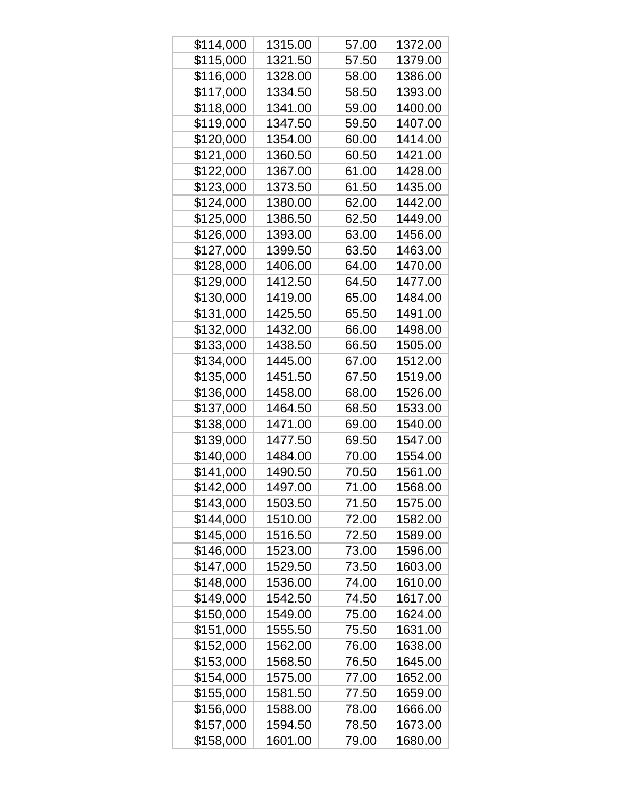| \$114,000 | 1315.00 | 57.00 | 1372.00 |
|-----------|---------|-------|---------|
| \$115,000 | 1321.50 | 57.50 | 1379.00 |
| \$116,000 | 1328.00 | 58.00 | 1386.00 |
| \$117,000 | 1334.50 | 58.50 | 1393.00 |
| \$118,000 | 1341.00 | 59.00 | 1400.00 |
| \$119,000 | 1347.50 | 59.50 | 1407.00 |
| \$120,000 | 1354.00 | 60.00 | 1414.00 |
| \$121,000 | 1360.50 | 60.50 | 1421.00 |
| \$122,000 | 1367.00 | 61.00 | 1428.00 |
| \$123,000 | 1373.50 | 61.50 | 1435.00 |
| \$124,000 | 1380.00 | 62.00 | 1442.00 |
| \$125,000 | 1386.50 | 62.50 | 1449.00 |
| \$126,000 | 1393.00 | 63.00 | 1456.00 |
| \$127,000 | 1399.50 | 63.50 | 1463.00 |
| \$128,000 | 1406.00 | 64.00 | 1470.00 |
| \$129,000 | 1412.50 | 64.50 | 1477.00 |
| \$130,000 | 1419.00 | 65.00 | 1484.00 |
| \$131,000 | 1425.50 | 65.50 | 1491.00 |
| \$132,000 | 1432.00 | 66.00 | 1498.00 |
| \$133,000 | 1438.50 | 66.50 | 1505.00 |
| \$134,000 | 1445.00 | 67.00 | 1512.00 |
| \$135,000 | 1451.50 | 67.50 | 1519.00 |
| \$136,000 | 1458.00 | 68.00 | 1526.00 |
| \$137,000 | 1464.50 | 68.50 | 1533.00 |
| \$138,000 | 1471.00 | 69.00 | 1540.00 |
| \$139,000 | 1477.50 | 69.50 | 1547.00 |
| \$140,000 | 1484.00 | 70.00 | 1554.00 |
| \$141,000 | 1490.50 | 70.50 | 1561.00 |
| \$142,000 | 1497.00 | 71.00 | 1568.00 |
| \$143,000 | 1503.50 | 71.50 | 1575.00 |
| \$144,000 | 1510.00 | 72.00 | 1582.00 |
| \$145,000 | 1516.50 | 72.50 | 1589.00 |
| \$146,000 | 1523.00 | 73.00 | 1596.00 |
| \$147,000 | 1529.50 | 73.50 | 1603.00 |
| \$148,000 | 1536.00 | 74.00 | 1610.00 |
| \$149,000 | 1542.50 | 74.50 | 1617.00 |
| \$150,000 | 1549.00 | 75.00 | 1624.00 |
| \$151,000 | 1555.50 | 75.50 | 1631.00 |
| \$152,000 | 1562.00 | 76.00 | 1638.00 |
| \$153,000 | 1568.50 | 76.50 | 1645.00 |
| \$154,000 | 1575.00 | 77.00 | 1652.00 |
| \$155,000 | 1581.50 | 77.50 | 1659.00 |
| \$156,000 | 1588.00 | 78.00 | 1666.00 |
| \$157,000 | 1594.50 | 78.50 | 1673.00 |
| \$158,000 | 1601.00 | 79.00 | 1680.00 |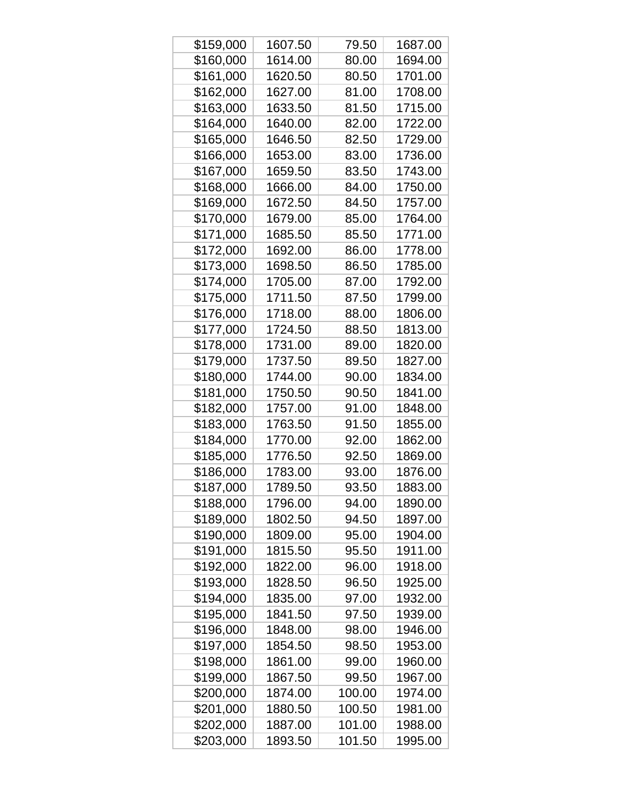| \$159,000 | 1607.50 | 79.50  | 1687.00 |
|-----------|---------|--------|---------|
| \$160,000 | 1614.00 | 80.00  | 1694.00 |
| \$161,000 | 1620.50 | 80.50  | 1701.00 |
| \$162,000 | 1627.00 | 81.00  | 1708.00 |
| \$163,000 | 1633.50 | 81.50  | 1715.00 |
| \$164,000 | 1640.00 | 82.00  | 1722.00 |
| \$165,000 | 1646.50 | 82.50  | 1729.00 |
| \$166,000 | 1653.00 | 83.00  | 1736.00 |
| \$167,000 | 1659.50 | 83.50  | 1743.00 |
| \$168,000 | 1666.00 | 84.00  | 1750.00 |
| \$169,000 | 1672.50 | 84.50  | 1757.00 |
| \$170,000 | 1679.00 | 85.00  | 1764.00 |
| \$171,000 | 1685.50 | 85.50  | 1771.00 |
| \$172,000 | 1692.00 | 86.00  | 1778.00 |
| \$173,000 | 1698.50 | 86.50  | 1785.00 |
| \$174,000 | 1705.00 | 87.00  | 1792.00 |
| \$175,000 | 1711.50 | 87.50  | 1799.00 |
| \$176,000 | 1718.00 | 88.00  | 1806.00 |
| \$177,000 | 1724.50 | 88.50  | 1813.00 |
| \$178,000 | 1731.00 | 89.00  | 1820.00 |
| \$179,000 | 1737.50 | 89.50  | 1827.00 |
| \$180,000 | 1744.00 | 90.00  | 1834.00 |
| \$181,000 | 1750.50 | 90.50  | 1841.00 |
| \$182,000 | 1757.00 | 91.00  | 1848.00 |
| \$183,000 | 1763.50 | 91.50  | 1855.00 |
| \$184,000 | 1770.00 | 92.00  | 1862.00 |
| \$185,000 | 1776.50 | 92.50  | 1869.00 |
| \$186,000 | 1783.00 | 93.00  | 1876.00 |
| \$187,000 | 1789.50 | 93.50  | 1883.00 |
| \$188,000 | 1796.00 | 94.00  | 1890.00 |
| \$189,000 | 1802.50 | 94.50  | 1897.00 |
| \$190,000 | 1809.00 | 95.00  | 1904.00 |
| \$191,000 | 1815.50 | 95.50  | 1911.00 |
| \$192,000 | 1822.00 | 96.00  | 1918.00 |
| \$193,000 | 1828.50 | 96.50  | 1925.00 |
| \$194,000 | 1835.00 | 97.00  | 1932.00 |
| \$195,000 | 1841.50 | 97.50  | 1939.00 |
| \$196,000 | 1848.00 | 98.00  | 1946.00 |
| \$197,000 | 1854.50 | 98.50  | 1953.00 |
| \$198,000 | 1861.00 | 99.00  | 1960.00 |
| \$199,000 | 1867.50 | 99.50  | 1967.00 |
| \$200,000 | 1874.00 | 100.00 | 1974.00 |
| \$201,000 | 1880.50 | 100.50 | 1981.00 |
| \$202,000 | 1887.00 | 101.00 | 1988.00 |
| \$203,000 | 1893.50 | 101.50 | 1995.00 |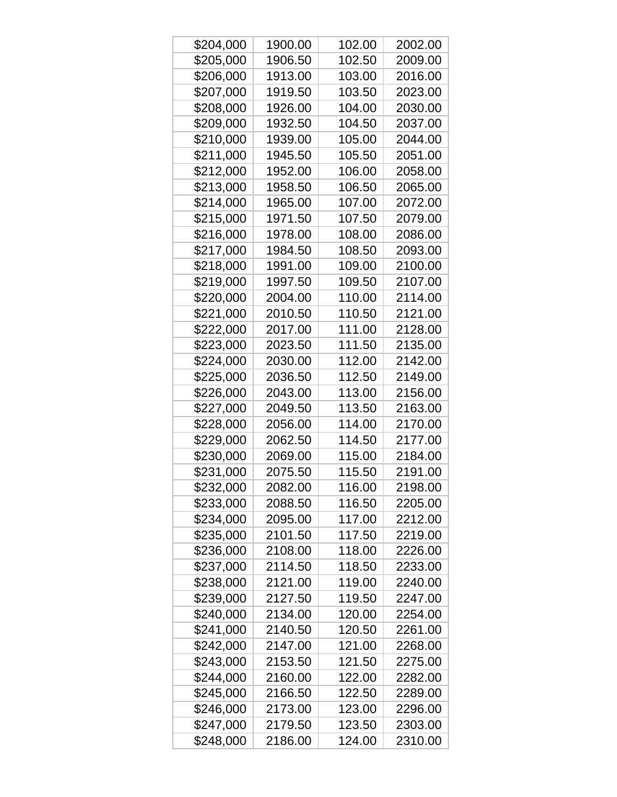| \$204,000 | 1900.00 | 102.00 | 2002.00 |
|-----------|---------|--------|---------|
| \$205,000 | 1906.50 | 102.50 | 2009.00 |
| \$206,000 | 1913.00 | 103.00 | 2016.00 |
| \$207,000 | 1919.50 | 103.50 | 2023.00 |
| \$208,000 | 1926.00 | 104.00 | 2030.00 |
| \$209,000 | 1932.50 | 104.50 | 2037.00 |
| \$210,000 | 1939.00 | 105.00 | 2044.00 |
| \$211,000 | 1945.50 | 105.50 | 2051.00 |
| \$212,000 | 1952.00 | 106.00 | 2058.00 |
| \$213,000 | 1958.50 | 106.50 | 2065.00 |
| \$214,000 | 1965.00 | 107.00 | 2072.00 |
| \$215,000 | 1971.50 | 107.50 | 2079.00 |
| \$216,000 | 1978.00 | 108.00 | 2086.00 |
| \$217,000 | 1984.50 | 108.50 | 2093.00 |
| \$218,000 | 1991.00 | 109.00 | 2100.00 |
| \$219,000 | 1997.50 | 109.50 | 2107.00 |
| \$220,000 | 2004.00 | 110.00 | 2114.00 |
| \$221,000 | 2010.50 | 110.50 | 2121.00 |
| \$222,000 | 2017.00 | 111.00 | 2128.00 |
| \$223,000 | 2023.50 | 111.50 | 2135.00 |
| \$224,000 | 2030.00 | 112.00 | 2142.00 |
| \$225,000 | 2036.50 | 112.50 | 2149.00 |
| \$226,000 | 2043.00 | 113.00 | 2156.00 |
| \$227,000 | 2049.50 | 113.50 | 2163.00 |
| \$228,000 | 2056.00 | 114.00 | 2170.00 |
| \$229,000 | 2062.50 | 114.50 | 2177.00 |
| \$230,000 | 2069.00 | 115.00 | 2184.00 |
| \$231,000 | 2075.50 | 115.50 | 2191.00 |
| \$232,000 | 2082.00 | 116.00 | 2198.00 |
| \$233,000 | 2088.50 | 116.50 | 2205.00 |
| \$234,000 | 2095.00 | 117.00 | 2212.00 |
| \$235,000 | 2101.50 | 117.50 | 2219.00 |
| \$236,000 | 2108.00 | 118.00 | 2226.00 |
| \$237,000 | 2114.50 | 118.50 | 2233.00 |
| \$238,000 | 2121.00 | 119.00 | 2240.00 |
| \$239,000 | 2127.50 | 119.50 | 2247.00 |
| \$240,000 | 2134.00 | 120.00 | 2254.00 |
| \$241,000 | 2140.50 | 120.50 | 2261.00 |
| \$242,000 | 2147.00 | 121.00 | 2268.00 |
| \$243,000 | 2153.50 | 121.50 | 2275.00 |
| \$244,000 | 2160.00 | 122.00 | 2282.00 |
| \$245,000 | 2166.50 | 122.50 | 2289.00 |
| \$246,000 | 2173.00 | 123.00 | 2296.00 |
| \$247,000 | 2179.50 | 123.50 | 2303.00 |
| \$248,000 | 2186.00 | 124.00 | 2310.00 |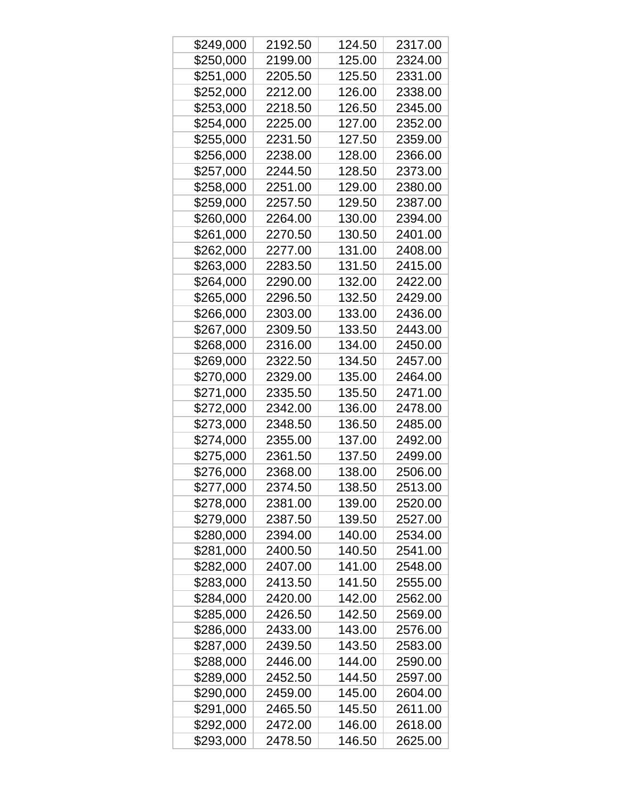| \$249,000 | 2192.50 | 124.50 | 2317.00 |
|-----------|---------|--------|---------|
| \$250,000 | 2199.00 | 125.00 | 2324.00 |
| \$251,000 | 2205.50 | 125.50 | 2331.00 |
| \$252,000 | 2212.00 | 126.00 | 2338.00 |
| \$253,000 | 2218.50 | 126.50 | 2345.00 |
| \$254,000 | 2225.00 | 127.00 | 2352.00 |
| \$255,000 | 2231.50 | 127.50 | 2359.00 |
| \$256,000 | 2238.00 | 128.00 | 2366.00 |
| \$257,000 | 2244.50 | 128.50 | 2373.00 |
| \$258,000 | 2251.00 | 129.00 | 2380.00 |
| \$259,000 | 2257.50 | 129.50 | 2387.00 |
| \$260,000 | 2264.00 | 130.00 | 2394.00 |
| \$261,000 | 2270.50 | 130.50 | 2401.00 |
| \$262,000 | 2277.00 | 131.00 | 2408.00 |
| \$263,000 | 2283.50 | 131.50 | 2415.00 |
| \$264,000 | 2290.00 | 132.00 | 2422.00 |
| \$265,000 | 2296.50 | 132.50 | 2429.00 |
| \$266,000 | 2303.00 | 133.00 | 2436.00 |
| \$267,000 | 2309.50 | 133.50 | 2443.00 |
| \$268,000 | 2316.00 | 134.00 | 2450.00 |
| \$269,000 | 2322.50 | 134.50 | 2457.00 |
| \$270,000 | 2329.00 | 135.00 | 2464.00 |
| \$271,000 | 2335.50 | 135.50 | 2471.00 |
| \$272,000 | 2342.00 | 136.00 | 2478.00 |
| \$273,000 | 2348.50 | 136.50 | 2485.00 |
| \$274,000 | 2355.00 | 137.00 | 2492.00 |
| \$275,000 | 2361.50 | 137.50 | 2499.00 |
| \$276,000 | 2368.00 | 138.00 | 2506.00 |
| \$277,000 | 2374.50 | 138.50 | 2513.00 |
| \$278,000 | 2381.00 | 139.00 | 2520.00 |
| \$279,000 | 2387.50 | 139.50 | 2527.00 |
| \$280,000 | 2394.00 | 140.00 | 2534.00 |
| \$281,000 | 2400.50 | 140.50 | 2541.00 |
| \$282,000 | 2407.00 | 141.00 | 2548.00 |
| \$283,000 | 2413.50 | 141.50 | 2555.00 |
| \$284,000 | 2420.00 | 142.00 | 2562.00 |
| \$285,000 | 2426.50 | 142.50 | 2569.00 |
| \$286,000 | 2433.00 | 143.00 | 2576.00 |
| \$287,000 | 2439.50 | 143.50 | 2583.00 |
| \$288,000 | 2446.00 | 144.00 | 2590.00 |
| \$289,000 | 2452.50 | 144.50 | 2597.00 |
| \$290,000 | 2459.00 | 145.00 | 2604.00 |
| \$291,000 | 2465.50 | 145.50 | 2611.00 |
| \$292,000 | 2472.00 | 146.00 | 2618.00 |
| \$293,000 | 2478.50 | 146.50 | 2625.00 |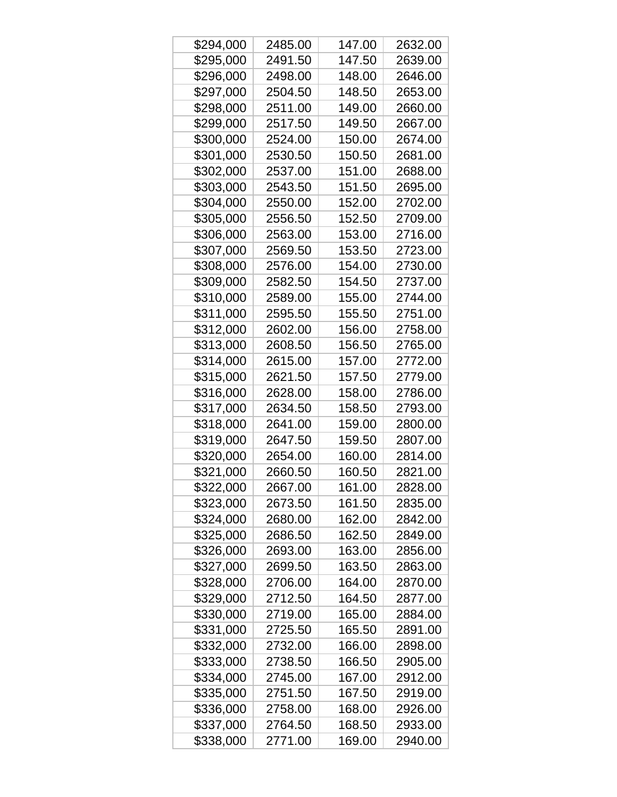| \$294,000 | 2485.00 | 147.00 | 2632.00 |
|-----------|---------|--------|---------|
| \$295,000 | 2491.50 | 147.50 | 2639.00 |
| \$296,000 | 2498.00 | 148.00 | 2646.00 |
| \$297,000 | 2504.50 | 148.50 | 2653.00 |
| \$298,000 | 2511.00 | 149.00 | 2660.00 |
| \$299,000 | 2517.50 | 149.50 | 2667.00 |
| \$300,000 | 2524.00 | 150.00 | 2674.00 |
| \$301,000 | 2530.50 | 150.50 | 2681.00 |
| \$302,000 | 2537.00 | 151.00 | 2688.00 |
| \$303,000 | 2543.50 | 151.50 | 2695.00 |
| \$304,000 | 2550.00 | 152.00 | 2702.00 |
| \$305,000 | 2556.50 | 152.50 | 2709.00 |
| \$306,000 | 2563.00 | 153.00 | 2716.00 |
| \$307,000 | 2569.50 | 153.50 | 2723.00 |
| \$308,000 | 2576.00 | 154.00 | 2730.00 |
| \$309,000 | 2582.50 | 154.50 | 2737.00 |
| \$310,000 | 2589.00 | 155.00 | 2744.00 |
| \$311,000 | 2595.50 | 155.50 | 2751.00 |
| \$312,000 | 2602.00 | 156.00 | 2758.00 |
| \$313,000 | 2608.50 | 156.50 | 2765.00 |
| \$314,000 | 2615.00 | 157.00 | 2772.00 |
| \$315,000 | 2621.50 | 157.50 | 2779.00 |
| \$316,000 | 2628.00 | 158.00 | 2786.00 |
| \$317,000 | 2634.50 | 158.50 | 2793.00 |
| \$318,000 | 2641.00 | 159.00 | 2800.00 |
| \$319,000 | 2647.50 | 159.50 | 2807.00 |
| \$320,000 | 2654.00 | 160.00 | 2814.00 |
| \$321,000 | 2660.50 | 160.50 | 2821.00 |
| \$322,000 | 2667.00 | 161.00 | 2828.00 |
| \$323,000 | 2673.50 | 161.50 | 2835.00 |
| \$324,000 | 2680.00 | 162.00 | 2842.00 |
| \$325,000 | 2686.50 | 162.50 | 2849.00 |
| \$326,000 | 2693.00 | 163.00 | 2856.00 |
| \$327,000 | 2699.50 | 163.50 | 2863.00 |
| \$328,000 | 2706.00 | 164.00 | 2870.00 |
| \$329,000 | 2712.50 | 164.50 | 2877.00 |
| \$330,000 | 2719.00 | 165.00 | 2884.00 |
| \$331,000 | 2725.50 | 165.50 | 2891.00 |
| \$332,000 | 2732.00 | 166.00 | 2898.00 |
| \$333,000 | 2738.50 | 166.50 | 2905.00 |
| \$334,000 | 2745.00 | 167.00 | 2912.00 |
| \$335,000 | 2751.50 | 167.50 | 2919.00 |
| \$336,000 | 2758.00 | 168.00 | 2926.00 |
| \$337,000 | 2764.50 | 168.50 | 2933.00 |
| \$338,000 | 2771.00 | 169.00 | 2940.00 |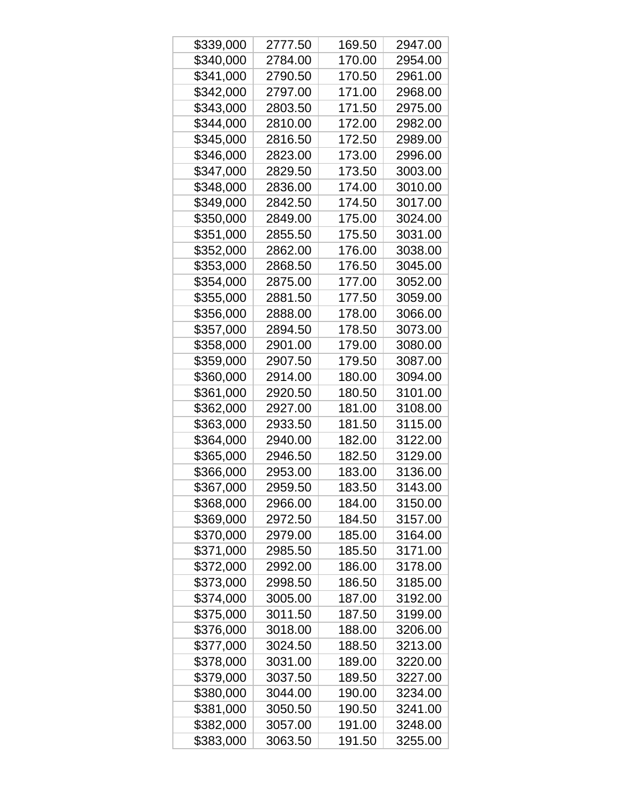| \$339,000 | 2777.50 | 169.50 | 2947.00 |
|-----------|---------|--------|---------|
| \$340,000 | 2784.00 | 170.00 | 2954.00 |
| \$341,000 | 2790.50 | 170.50 | 2961.00 |
| \$342,000 | 2797.00 | 171.00 | 2968.00 |
| \$343,000 | 2803.50 | 171.50 | 2975.00 |
| \$344,000 | 2810.00 | 172.00 | 2982.00 |
| \$345,000 | 2816.50 | 172.50 | 2989.00 |
| \$346,000 | 2823.00 | 173.00 | 2996.00 |
| \$347,000 | 2829.50 | 173.50 | 3003.00 |
| \$348,000 | 2836.00 | 174.00 | 3010.00 |
| \$349,000 | 2842.50 | 174.50 | 3017.00 |
| \$350,000 | 2849.00 | 175.00 | 3024.00 |
| \$351,000 | 2855.50 | 175.50 | 3031.00 |
| \$352,000 | 2862.00 | 176.00 | 3038.00 |
| \$353,000 | 2868.50 | 176.50 | 3045.00 |
| \$354,000 | 2875.00 | 177.00 | 3052.00 |
| \$355,000 | 2881.50 | 177.50 | 3059.00 |
| \$356,000 | 2888.00 | 178.00 | 3066.00 |
| \$357,000 | 2894.50 | 178.50 | 3073.00 |
| \$358,000 | 2901.00 | 179.00 | 3080.00 |
| \$359,000 | 2907.50 | 179.50 | 3087.00 |
| \$360,000 | 2914.00 | 180.00 | 3094.00 |
| \$361,000 | 2920.50 | 180.50 | 3101.00 |
| \$362,000 | 2927.00 | 181.00 | 3108.00 |
| \$363,000 | 2933.50 | 181.50 | 3115.00 |
| \$364,000 | 2940.00 | 182.00 | 3122.00 |
| \$365,000 | 2946.50 | 182.50 | 3129.00 |
| \$366,000 | 2953.00 | 183.00 | 3136.00 |
| \$367,000 | 2959.50 | 183.50 | 3143.00 |
| \$368,000 | 2966.00 | 184.00 | 3150.00 |
| \$369,000 | 2972.50 | 184.50 | 3157.00 |
| \$370,000 | 2979.00 | 185.00 | 3164.00 |
| \$371,000 | 2985.50 | 185.50 | 3171.00 |
| \$372,000 | 2992.00 | 186.00 | 3178.00 |
| \$373,000 | 2998.50 | 186.50 | 3185.00 |
| \$374,000 | 3005.00 | 187.00 | 3192.00 |
| \$375,000 | 3011.50 | 187.50 | 3199.00 |
| \$376,000 | 3018.00 | 188.00 | 3206.00 |
| \$377,000 | 3024.50 | 188.50 | 3213.00 |
| \$378,000 | 3031.00 | 189.00 | 3220.00 |
| \$379,000 | 3037.50 | 189.50 | 3227.00 |
| \$380,000 | 3044.00 | 190.00 | 3234.00 |
| \$381,000 | 3050.50 | 190.50 | 3241.00 |
| \$382,000 | 3057.00 | 191.00 | 3248.00 |
| \$383,000 | 3063.50 | 191.50 | 3255.00 |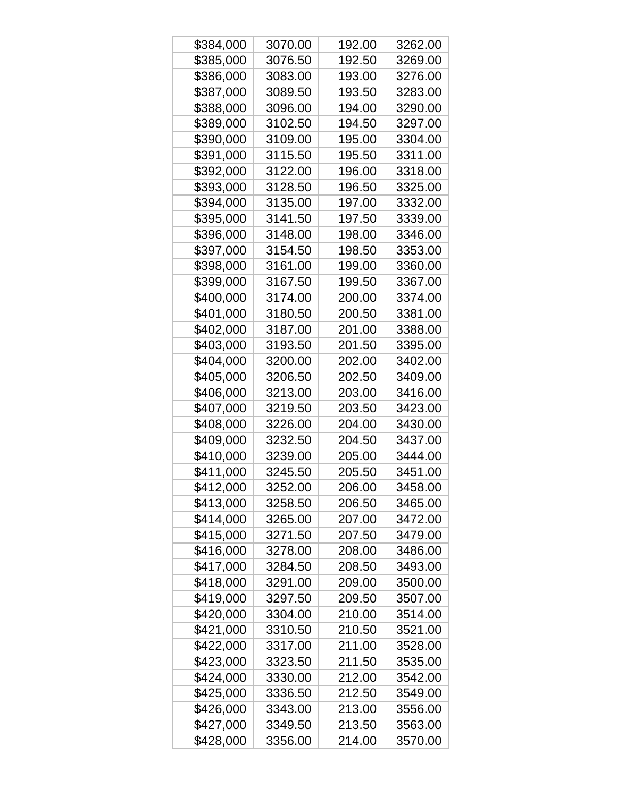| \$384,000 | 3070.00 | 192.00 | 3262.00 |
|-----------|---------|--------|---------|
| \$385,000 | 3076.50 | 192.50 | 3269.00 |
| \$386,000 | 3083.00 | 193.00 | 3276.00 |
| \$387,000 | 3089.50 | 193.50 | 3283.00 |
| \$388,000 | 3096.00 | 194.00 | 3290.00 |
| \$389,000 | 3102.50 | 194.50 | 3297.00 |
| \$390,000 | 3109.00 | 195.00 | 3304.00 |
| \$391,000 | 3115.50 | 195.50 | 3311.00 |
| \$392,000 | 3122.00 | 196.00 | 3318.00 |
| \$393,000 | 3128.50 | 196.50 | 3325.00 |
| \$394,000 | 3135.00 | 197.00 | 3332.00 |
| \$395,000 | 3141.50 | 197.50 | 3339.00 |
| \$396,000 | 3148.00 | 198.00 | 3346.00 |
| \$397,000 | 3154.50 | 198.50 | 3353.00 |
| \$398,000 | 3161.00 | 199.00 | 3360.00 |
| \$399,000 | 3167.50 | 199.50 | 3367.00 |
| \$400,000 | 3174.00 | 200.00 | 3374.00 |
| \$401,000 | 3180.50 | 200.50 | 3381.00 |
| \$402,000 | 3187.00 | 201.00 | 3388.00 |
| \$403,000 | 3193.50 | 201.50 | 3395.00 |
| \$404,000 | 3200.00 | 202.00 | 3402.00 |
| \$405,000 | 3206.50 | 202.50 | 3409.00 |
| \$406,000 | 3213.00 | 203.00 | 3416.00 |
| \$407,000 | 3219.50 | 203.50 | 3423.00 |
| \$408,000 | 3226.00 | 204.00 | 3430.00 |
| \$409,000 | 3232.50 | 204.50 | 3437.00 |
| \$410,000 | 3239.00 | 205.00 | 3444.00 |
| \$411,000 | 3245.50 | 205.50 | 3451.00 |
| \$412,000 | 3252.00 | 206.00 | 3458.00 |
| \$413,000 | 3258.50 | 206.50 | 3465.00 |
| \$414,000 | 3265.00 | 207.00 | 3472.00 |
| \$415,000 | 3271.50 | 207.50 | 3479.00 |
| \$416,000 | 3278.00 | 208.00 | 3486.00 |
| \$417,000 | 3284.50 | 208.50 | 3493.00 |
| \$418,000 | 3291.00 | 209.00 | 3500.00 |
| \$419,000 | 3297.50 | 209.50 | 3507.00 |
| \$420,000 | 3304.00 | 210.00 | 3514.00 |
| \$421,000 | 3310.50 | 210.50 | 3521.00 |
| \$422,000 | 3317.00 | 211.00 | 3528.00 |
| \$423,000 | 3323.50 | 211.50 | 3535.00 |
| \$424,000 | 3330.00 | 212.00 | 3542.00 |
| \$425,000 | 3336.50 | 212.50 | 3549.00 |
| \$426,000 | 3343.00 | 213.00 | 3556.00 |
| \$427,000 | 3349.50 | 213.50 | 3563.00 |
| \$428,000 | 3356.00 | 214.00 | 3570.00 |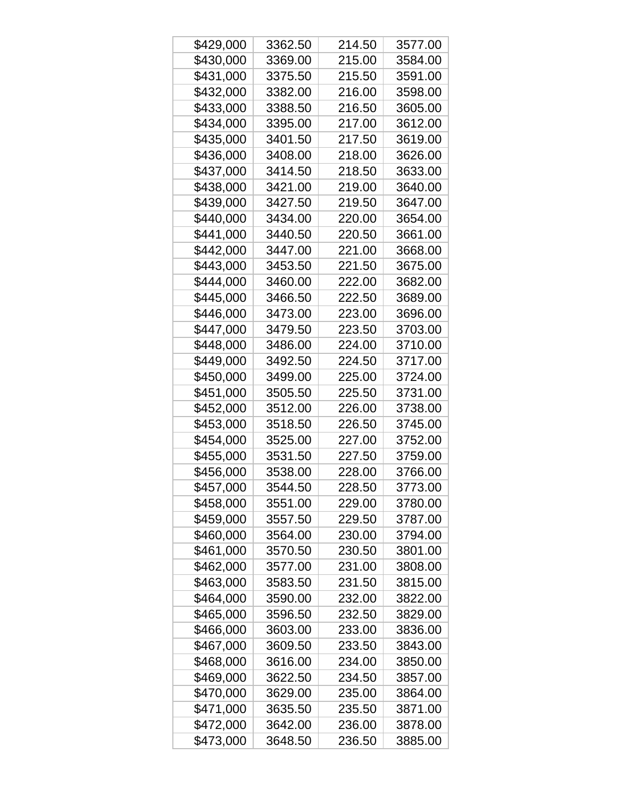| \$429,000 | 3362.50 | 214.50 | 3577.00 |
|-----------|---------|--------|---------|
| \$430,000 | 3369.00 | 215.00 | 3584.00 |
| \$431,000 | 3375.50 | 215.50 | 3591.00 |
| \$432,000 | 3382.00 | 216.00 | 3598.00 |
| \$433,000 | 3388.50 | 216.50 | 3605.00 |
| \$434,000 | 3395.00 | 217.00 | 3612.00 |
| \$435,000 | 3401.50 | 217.50 | 3619.00 |
| \$436,000 | 3408.00 | 218.00 | 3626.00 |
| \$437,000 | 3414.50 | 218.50 | 3633.00 |
| \$438,000 | 3421.00 | 219.00 | 3640.00 |
| \$439,000 | 3427.50 | 219.50 | 3647.00 |
| \$440,000 | 3434.00 | 220.00 | 3654.00 |
| \$441,000 | 3440.50 | 220.50 | 3661.00 |
| \$442,000 | 3447.00 | 221.00 | 3668.00 |
| \$443,000 | 3453.50 | 221.50 | 3675.00 |
| \$444,000 | 3460.00 | 222.00 | 3682.00 |
| \$445,000 | 3466.50 | 222.50 | 3689.00 |
| \$446,000 | 3473.00 | 223.00 | 3696.00 |
| \$447,000 | 3479.50 | 223.50 | 3703.00 |
| \$448,000 | 3486.00 | 224.00 | 3710.00 |
| \$449,000 | 3492.50 | 224.50 | 3717.00 |
| \$450,000 | 3499.00 | 225.00 | 3724.00 |
| \$451,000 | 3505.50 | 225.50 | 3731.00 |
| \$452,000 | 3512.00 | 226.00 | 3738.00 |
| \$453,000 | 3518.50 | 226.50 | 3745.00 |
| \$454,000 | 3525.00 | 227.00 | 3752.00 |
| \$455,000 | 3531.50 | 227.50 | 3759.00 |
| \$456,000 | 3538.00 | 228.00 | 3766.00 |
| \$457,000 | 3544.50 | 228.50 | 3773.00 |
| \$458,000 | 3551.00 | 229.00 | 3780.00 |
| \$459,000 | 3557.50 | 229.50 | 3787.00 |
| \$460,000 | 3564.00 | 230.00 | 3794.00 |
| \$461,000 | 3570.50 | 230.50 | 3801.00 |
| \$462,000 | 3577.00 | 231.00 | 3808.00 |
| \$463,000 | 3583.50 | 231.50 | 3815.00 |
| \$464,000 | 3590.00 | 232.00 | 3822.00 |
| \$465,000 | 3596.50 | 232.50 | 3829.00 |
| \$466,000 | 3603.00 | 233.00 | 3836.00 |
| \$467,000 | 3609.50 | 233.50 | 3843.00 |
| \$468,000 | 3616.00 | 234.00 | 3850.00 |
| \$469,000 | 3622.50 | 234.50 | 3857.00 |
| \$470,000 | 3629.00 | 235.00 | 3864.00 |
| \$471,000 | 3635.50 | 235.50 | 3871.00 |
| \$472,000 | 3642.00 | 236.00 | 3878.00 |
| \$473,000 | 3648.50 | 236.50 | 3885.00 |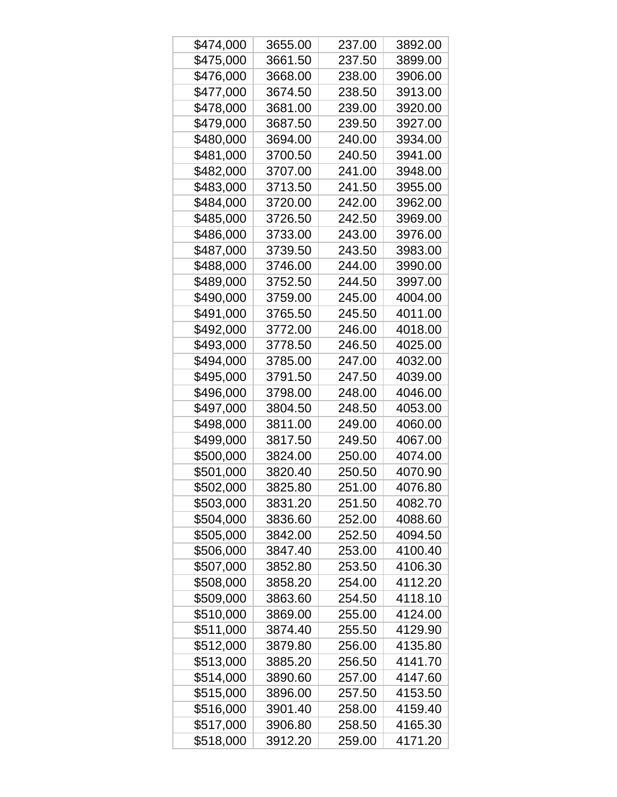| \$474,000 | 3655.00 | 237.00 | 3892.00 |
|-----------|---------|--------|---------|
| \$475,000 | 3661.50 | 237.50 | 3899.00 |
| \$476,000 | 3668.00 | 238.00 | 3906.00 |
| \$477,000 | 3674.50 | 238.50 | 3913.00 |
| \$478,000 | 3681.00 | 239.00 | 3920.00 |
| \$479,000 | 3687.50 | 239.50 | 3927.00 |
| \$480,000 | 3694.00 | 240.00 | 3934.00 |
| \$481,000 | 3700.50 | 240.50 | 3941.00 |
| \$482,000 | 3707.00 | 241.00 | 3948.00 |
| \$483,000 | 3713.50 | 241.50 | 3955.00 |
| \$484,000 | 3720.00 | 242.00 | 3962.00 |
| \$485,000 | 3726.50 | 242.50 | 3969.00 |
| \$486,000 | 3733.00 | 243.00 | 3976.00 |
| \$487,000 | 3739.50 | 243.50 | 3983.00 |
| \$488,000 | 3746.00 | 244.00 | 3990.00 |
| \$489,000 | 3752.50 | 244.50 | 3997.00 |
| \$490,000 | 3759.00 | 245.00 | 4004.00 |
| \$491,000 | 3765.50 | 245.50 | 4011.00 |
| \$492,000 | 3772.00 | 246.00 | 4018.00 |
| \$493,000 | 3778.50 | 246.50 | 4025.00 |
| \$494,000 | 3785.00 | 247.00 | 4032.00 |
| \$495,000 | 3791.50 | 247.50 | 4039.00 |
| \$496,000 | 3798.00 | 248.00 | 4046.00 |
| \$497,000 | 3804.50 | 248.50 | 4053.00 |
| \$498,000 | 3811.00 | 249.00 | 4060.00 |
| \$499,000 | 3817.50 | 249.50 | 4067.00 |
| \$500,000 | 3824.00 | 250.00 | 4074.00 |
| \$501,000 | 3820.40 | 250.50 | 4070.90 |
| \$502,000 | 3825.80 | 251.00 | 4076.80 |
| \$503,000 | 3831.20 | 251.50 | 4082.70 |
| \$504,000 | 3836.60 | 252.00 | 4088.60 |
| \$505,000 | 3842.00 | 252.50 | 4094.50 |
| \$506,000 | 3847.40 | 253.00 | 4100.40 |
| \$507,000 | 3852.80 | 253.50 | 4106.30 |
| \$508,000 | 3858.20 | 254.00 | 4112.20 |
| \$509,000 | 3863.60 | 254.50 | 4118.10 |
| \$510,000 | 3869.00 | 255.00 | 4124.00 |
| \$511,000 | 3874.40 | 255.50 | 4129.90 |
| \$512,000 | 3879.80 | 256.00 | 4135.80 |
| \$513,000 | 3885.20 | 256.50 | 4141.70 |
| \$514,000 | 3890.60 | 257.00 | 4147.60 |
| \$515,000 | 3896.00 | 257.50 | 4153.50 |
| \$516,000 | 3901.40 | 258.00 | 4159.40 |
| \$517,000 | 3906.80 | 258.50 | 4165.30 |
| \$518,000 | 3912.20 | 259.00 | 4171.20 |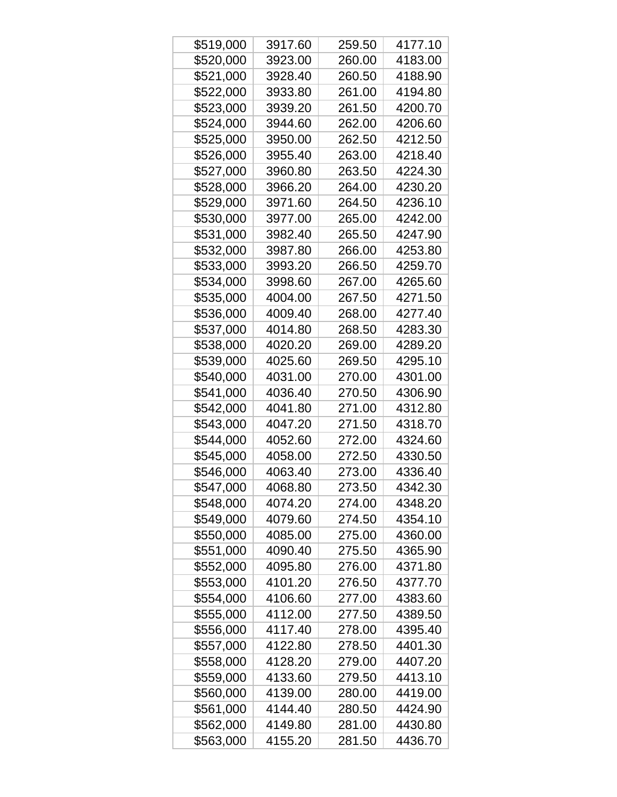| \$519,000 | 3917.60 | 259.50 | 4177.10 |
|-----------|---------|--------|---------|
| \$520,000 | 3923.00 | 260.00 | 4183.00 |
| \$521,000 | 3928.40 | 260.50 | 4188.90 |
| \$522,000 | 3933.80 | 261.00 | 4194.80 |
| \$523,000 | 3939.20 | 261.50 | 4200.70 |
| \$524,000 | 3944.60 | 262.00 | 4206.60 |
| \$525,000 | 3950.00 | 262.50 | 4212.50 |
| \$526,000 | 3955.40 | 263.00 | 4218.40 |
| \$527,000 | 3960.80 | 263.50 | 4224.30 |
| \$528,000 | 3966.20 | 264.00 | 4230.20 |
| \$529,000 | 3971.60 | 264.50 | 4236.10 |
| \$530,000 | 3977.00 | 265.00 | 4242.00 |
| \$531,000 | 3982.40 | 265.50 | 4247.90 |
| \$532,000 | 3987.80 | 266.00 | 4253.80 |
| \$533,000 | 3993.20 | 266.50 | 4259.70 |
| \$534,000 | 3998.60 | 267.00 | 4265.60 |
| \$535,000 | 4004.00 | 267.50 | 4271.50 |
| \$536,000 | 4009.40 | 268.00 | 4277.40 |
| \$537,000 | 4014.80 | 268.50 | 4283.30 |
| \$538,000 | 4020.20 | 269.00 | 4289.20 |
| \$539,000 | 4025.60 | 269.50 | 4295.10 |
| \$540,000 | 4031.00 | 270.00 | 4301.00 |
| \$541,000 | 4036.40 | 270.50 | 4306.90 |
| \$542,000 | 4041.80 | 271.00 | 4312.80 |
| \$543,000 | 4047.20 | 271.50 | 4318.70 |
| \$544,000 | 4052.60 | 272.00 | 4324.60 |
| \$545,000 | 4058.00 | 272.50 | 4330.50 |
| \$546,000 | 4063.40 | 273.00 | 4336.40 |
| \$547,000 | 4068.80 | 273.50 | 4342.30 |
| \$548,000 | 4074.20 | 274.00 | 4348.20 |
| \$549,000 | 4079.60 | 274.50 | 4354.10 |
| \$550,000 | 4085.00 | 275.00 | 4360.00 |
| \$551,000 | 4090.40 | 275.50 | 4365.90 |
| \$552,000 | 4095.80 | 276.00 | 4371.80 |
| \$553,000 | 4101.20 | 276.50 | 4377.70 |
| \$554,000 | 4106.60 | 277.00 | 4383.60 |
| \$555,000 | 4112.00 | 277.50 | 4389.50 |
| \$556,000 | 4117.40 | 278.00 | 4395.40 |
| \$557,000 | 4122.80 | 278.50 | 4401.30 |
| \$558,000 | 4128.20 | 279.00 | 4407.20 |
| \$559,000 | 4133.60 | 279.50 | 4413.10 |
| \$560,000 | 4139.00 | 280.00 | 4419.00 |
| \$561,000 | 4144.40 | 280.50 | 4424.90 |
| \$562,000 | 4149.80 | 281.00 | 4430.80 |
| \$563,000 | 4155.20 | 281.50 | 4436.70 |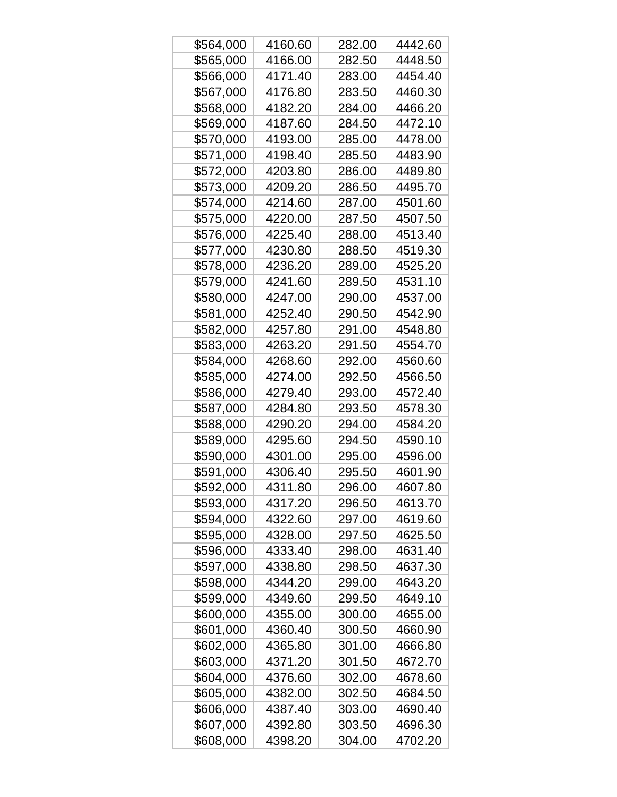| \$564,000 | 4160.60 | 282.00 | 4442.60 |
|-----------|---------|--------|---------|
| \$565,000 | 4166.00 | 282.50 | 4448.50 |
| \$566,000 | 4171.40 | 283.00 | 4454.40 |
| \$567,000 | 4176.80 | 283.50 | 4460.30 |
| \$568,000 | 4182.20 | 284.00 | 4466.20 |
| \$569,000 | 4187.60 | 284.50 | 4472.10 |
| \$570,000 | 4193.00 | 285.00 | 4478.00 |
| \$571,000 | 4198.40 | 285.50 | 4483.90 |
| \$572,000 | 4203.80 | 286.00 | 4489.80 |
| \$573,000 | 4209.20 | 286.50 | 4495.70 |
| \$574,000 | 4214.60 | 287.00 | 4501.60 |
| \$575,000 | 4220.00 | 287.50 | 4507.50 |
| \$576,000 | 4225.40 | 288.00 | 4513.40 |
| \$577,000 | 4230.80 | 288.50 | 4519.30 |
| \$578,000 | 4236.20 | 289.00 | 4525.20 |
| \$579,000 | 4241.60 | 289.50 | 4531.10 |
| \$580,000 | 4247.00 | 290.00 | 4537.00 |
| \$581,000 | 4252.40 | 290.50 | 4542.90 |
| \$582,000 | 4257.80 | 291.00 | 4548.80 |
| \$583,000 | 4263.20 | 291.50 | 4554.70 |
| \$584,000 | 4268.60 | 292.00 | 4560.60 |
| \$585,000 | 4274.00 | 292.50 | 4566.50 |
| \$586,000 | 4279.40 | 293.00 | 4572.40 |
| \$587,000 | 4284.80 | 293.50 | 4578.30 |
| \$588,000 | 4290.20 | 294.00 | 4584.20 |
| \$589,000 | 4295.60 | 294.50 | 4590.10 |
| \$590,000 | 4301.00 | 295.00 | 4596.00 |
| \$591,000 | 4306.40 | 295.50 | 4601.90 |
| \$592,000 | 4311.80 | 296.00 | 4607.80 |
| \$593,000 | 4317.20 | 296.50 | 4613.70 |
| \$594,000 | 4322.60 | 297.00 | 4619.60 |
| \$595,000 | 4328.00 | 297.50 | 4625.50 |
| \$596,000 | 4333.40 | 298.00 | 4631.40 |
| \$597,000 | 4338.80 | 298.50 | 4637.30 |
| \$598,000 | 4344.20 | 299.00 | 4643.20 |
| \$599,000 | 4349.60 | 299.50 | 4649.10 |
| \$600,000 | 4355.00 | 300.00 | 4655.00 |
| \$601,000 | 4360.40 | 300.50 | 4660.90 |
| \$602,000 | 4365.80 | 301.00 | 4666.80 |
| \$603,000 | 4371.20 | 301.50 | 4672.70 |
| \$604,000 | 4376.60 | 302.00 | 4678.60 |
| \$605,000 | 4382.00 | 302.50 | 4684.50 |
| \$606,000 | 4387.40 | 303.00 | 4690.40 |
| \$607,000 | 4392.80 | 303.50 | 4696.30 |
| \$608,000 | 4398.20 | 304.00 | 4702.20 |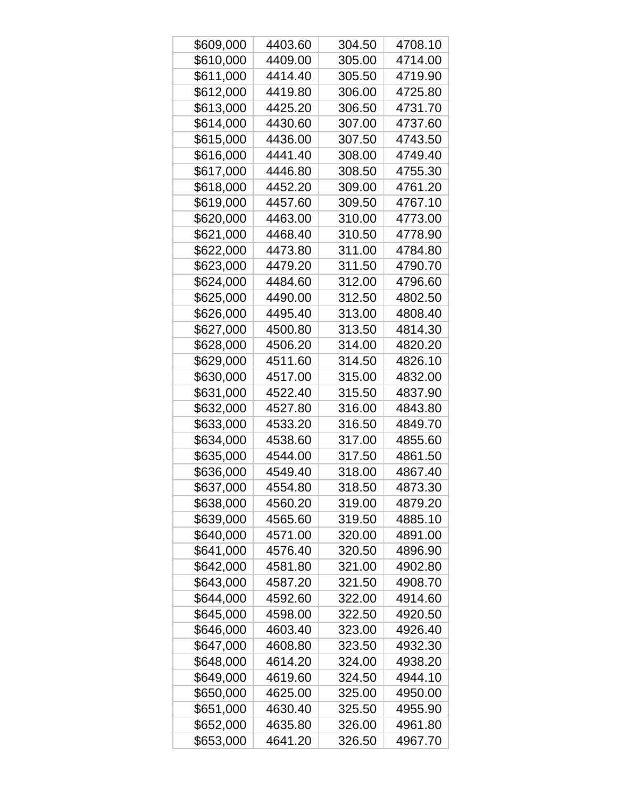| \$609,000 | 4403.60 | 304.50 | 4708.10 |
|-----------|---------|--------|---------|
| \$610,000 | 4409.00 | 305.00 | 4714.00 |
| \$611,000 | 4414.40 | 305.50 | 4719.90 |
| \$612,000 | 4419.80 | 306.00 | 4725.80 |
| \$613,000 | 4425.20 | 306.50 | 4731.70 |
| \$614,000 | 4430.60 | 307.00 | 4737.60 |
| \$615,000 | 4436.00 | 307.50 | 4743.50 |
| \$616,000 | 4441.40 | 308.00 | 4749.40 |
| \$617,000 | 4446.80 | 308.50 | 4755.30 |
| \$618,000 | 4452.20 | 309.00 | 4761.20 |
| \$619,000 | 4457.60 | 309.50 | 4767.10 |
| \$620,000 | 4463.00 | 310.00 | 4773.00 |
| \$621,000 | 4468.40 | 310.50 | 4778.90 |
| \$622,000 | 4473.80 | 311.00 | 4784.80 |
| \$623,000 | 4479.20 | 311.50 | 4790.70 |
| \$624,000 | 4484.60 | 312.00 | 4796.60 |
| \$625,000 | 4490.00 | 312.50 | 4802.50 |
| \$626,000 | 4495.40 | 313.00 | 4808.40 |
| \$627,000 | 4500.80 | 313.50 | 4814.30 |
| \$628,000 | 4506.20 | 314.00 | 4820.20 |
| \$629,000 | 4511.60 | 314.50 | 4826.10 |
| \$630,000 | 4517.00 | 315.00 | 4832.00 |
| \$631,000 | 4522.40 | 315.50 | 4837.90 |
| \$632,000 | 4527.80 | 316.00 | 4843.80 |
| \$633,000 | 4533.20 | 316.50 | 4849.70 |
| \$634,000 | 4538.60 | 317.00 | 4855.60 |
| \$635,000 | 4544.00 | 317.50 | 4861.50 |
| \$636,000 | 4549.40 | 318.00 | 4867.40 |
| \$637,000 | 4554.80 | 318.50 | 4873.30 |
| \$638,000 | 4560.20 | 319.00 | 4879.20 |
| \$639,000 | 4565.60 | 319.50 | 4885.10 |
| \$640,000 | 4571.00 | 320.00 | 4891.00 |
| \$641,000 | 4576.40 | 320.50 | 4896.90 |
| \$642,000 | 4581.80 | 321.00 | 4902.80 |
| \$643,000 | 4587.20 | 321.50 | 4908.70 |
| \$644,000 | 4592.60 | 322.00 | 4914.60 |
| \$645,000 | 4598.00 | 322.50 | 4920.50 |
| \$646,000 | 4603.40 | 323.00 | 4926.40 |
| \$647,000 | 4608.80 | 323.50 | 4932.30 |
| \$648,000 | 4614.20 | 324.00 | 4938.20 |
| \$649,000 | 4619.60 | 324.50 | 4944.10 |
| \$650,000 | 4625.00 | 325.00 | 4950.00 |
| \$651,000 | 4630.40 | 325.50 | 4955.90 |
| \$652,000 | 4635.80 | 326.00 | 4961.80 |
| \$653,000 | 4641.20 | 326.50 | 4967.70 |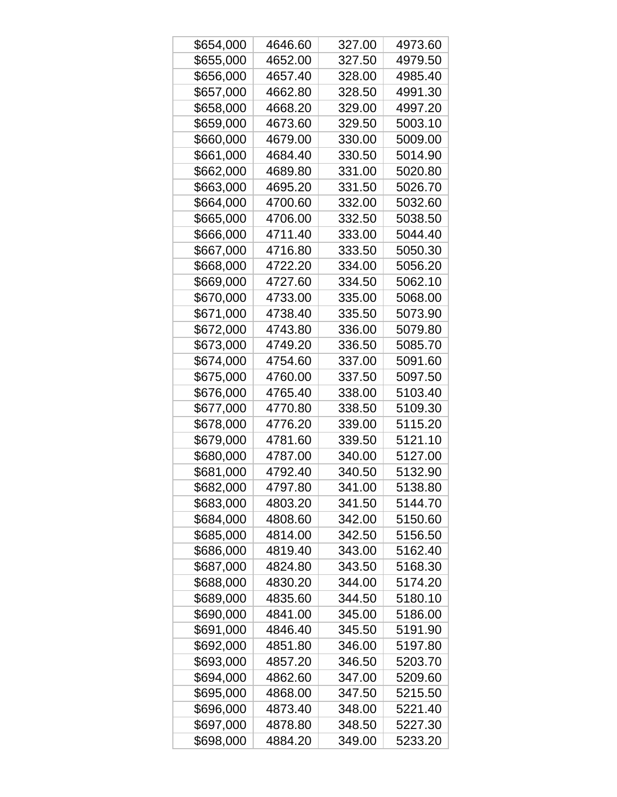| \$654,000 | 4646.60 | 327.00 | 4973.60 |
|-----------|---------|--------|---------|
| \$655,000 | 4652.00 | 327.50 | 4979.50 |
| \$656,000 | 4657.40 | 328.00 | 4985.40 |
| \$657,000 | 4662.80 | 328.50 | 4991.30 |
| \$658,000 | 4668.20 | 329.00 | 4997.20 |
| \$659,000 | 4673.60 | 329.50 | 5003.10 |
| \$660,000 | 4679.00 | 330.00 | 5009.00 |
| \$661,000 | 4684.40 | 330.50 | 5014.90 |
| \$662,000 | 4689.80 | 331.00 | 5020.80 |
| \$663,000 | 4695.20 | 331.50 | 5026.70 |
| \$664,000 | 4700.60 | 332.00 | 5032.60 |
| \$665,000 | 4706.00 | 332.50 | 5038.50 |
| \$666,000 | 4711.40 | 333.00 | 5044.40 |
| \$667,000 | 4716.80 | 333.50 | 5050.30 |
| \$668,000 | 4722.20 | 334.00 | 5056.20 |
| \$669,000 | 4727.60 | 334.50 | 5062.10 |
| \$670,000 | 4733.00 | 335.00 | 5068.00 |
| \$671,000 | 4738.40 | 335.50 | 5073.90 |
| \$672,000 | 4743.80 | 336.00 | 5079.80 |
| \$673,000 | 4749.20 | 336.50 | 5085.70 |
| \$674,000 | 4754.60 | 337.00 | 5091.60 |
| \$675,000 | 4760.00 | 337.50 | 5097.50 |
| \$676,000 | 4765.40 | 338.00 | 5103.40 |
| \$677,000 | 4770.80 | 338.50 | 5109.30 |
| \$678,000 | 4776.20 | 339.00 | 5115.20 |
| \$679,000 | 4781.60 | 339.50 | 5121.10 |
| \$680,000 | 4787.00 | 340.00 | 5127.00 |
| \$681,000 | 4792.40 | 340.50 | 5132.90 |
| \$682,000 | 4797.80 | 341.00 | 5138.80 |
| \$683,000 | 4803.20 | 341.50 | 5144.70 |
| \$684,000 | 4808.60 | 342.00 | 5150.60 |
| \$685,000 | 4814.00 | 342.50 | 5156.50 |
| \$686,000 | 4819.40 | 343.00 | 5162.40 |
| \$687,000 | 4824.80 | 343.50 | 5168.30 |
| \$688,000 | 4830.20 | 344.00 | 5174.20 |
| \$689,000 | 4835.60 | 344.50 | 5180.10 |
| \$690,000 | 4841.00 | 345.00 | 5186.00 |
| \$691,000 | 4846.40 | 345.50 | 5191.90 |
| \$692,000 | 4851.80 | 346.00 | 5197.80 |
| \$693,000 | 4857.20 | 346.50 | 5203.70 |
| \$694,000 | 4862.60 | 347.00 | 5209.60 |
| \$695,000 | 4868.00 | 347.50 | 5215.50 |
| \$696,000 | 4873.40 | 348.00 | 5221.40 |
| \$697,000 | 4878.80 | 348.50 | 5227.30 |
| \$698,000 | 4884.20 | 349.00 | 5233.20 |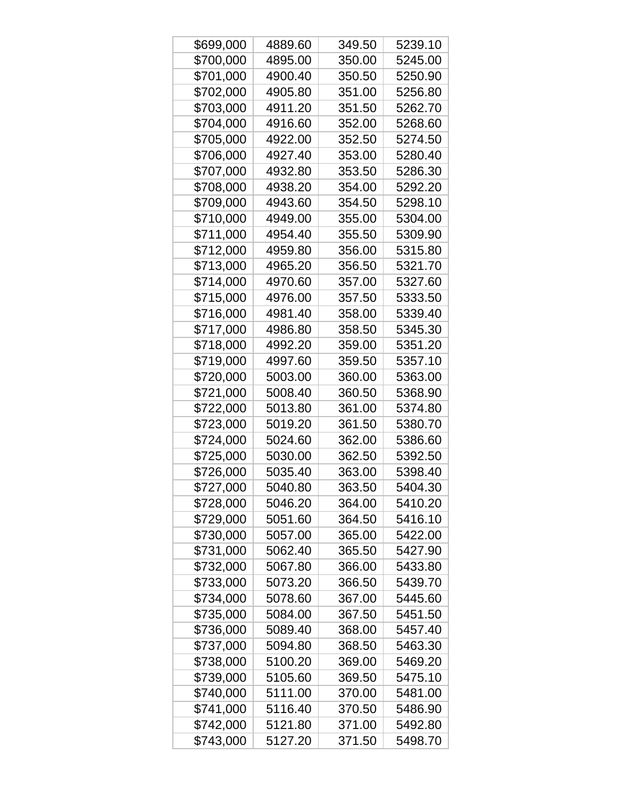| \$699,000 | 4889.60 | 349.50 | 5239.10 |
|-----------|---------|--------|---------|
| \$700,000 | 4895.00 | 350.00 | 5245.00 |
| \$701,000 | 4900.40 | 350.50 | 5250.90 |
| \$702,000 | 4905.80 | 351.00 | 5256.80 |
| \$703,000 | 4911.20 | 351.50 | 5262.70 |
| \$704,000 | 4916.60 | 352.00 | 5268.60 |
| \$705,000 | 4922.00 | 352.50 | 5274.50 |
| \$706,000 | 4927.40 | 353.00 | 5280.40 |
| \$707,000 | 4932.80 | 353.50 | 5286.30 |
| \$708,000 | 4938.20 | 354.00 | 5292.20 |
| \$709,000 | 4943.60 | 354.50 | 5298.10 |
| \$710,000 | 4949.00 | 355.00 | 5304.00 |
| \$711,000 | 4954.40 | 355.50 | 5309.90 |
| \$712,000 | 4959.80 | 356.00 | 5315.80 |
| \$713,000 | 4965.20 | 356.50 | 5321.70 |
| \$714,000 | 4970.60 | 357.00 | 5327.60 |
| \$715,000 | 4976.00 | 357.50 | 5333.50 |
| \$716,000 | 4981.40 | 358.00 | 5339.40 |
| \$717,000 | 4986.80 | 358.50 | 5345.30 |
| \$718,000 | 4992.20 | 359.00 | 5351.20 |
| \$719,000 | 4997.60 | 359.50 | 5357.10 |
| \$720,000 | 5003.00 | 360.00 | 5363.00 |
| \$721,000 | 5008.40 | 360.50 | 5368.90 |
| \$722,000 | 5013.80 | 361.00 | 5374.80 |
| \$723,000 | 5019.20 | 361.50 | 5380.70 |
| \$724,000 | 5024.60 | 362.00 | 5386.60 |
| \$725,000 | 5030.00 | 362.50 | 5392.50 |
| \$726,000 | 5035.40 | 363.00 | 5398.40 |
| \$727,000 | 5040.80 | 363.50 | 5404.30 |
| \$728,000 | 5046.20 | 364.00 | 5410.20 |
| \$729,000 | 5051.60 | 364.50 | 5416.10 |
| \$730,000 | 5057.00 | 365.00 | 5422.00 |
| \$731,000 | 5062.40 | 365.50 | 5427.90 |
| \$732,000 | 5067.80 | 366.00 | 5433.80 |
| \$733,000 | 5073.20 | 366.50 | 5439.70 |
| \$734,000 | 5078.60 | 367.00 | 5445.60 |
| \$735,000 | 5084.00 | 367.50 | 5451.50 |
| \$736,000 | 5089.40 | 368.00 | 5457.40 |
| \$737,000 | 5094.80 | 368.50 | 5463.30 |
| \$738,000 | 5100.20 | 369.00 | 5469.20 |
| \$739,000 | 5105.60 | 369.50 | 5475.10 |
| \$740,000 | 5111.00 | 370.00 | 5481.00 |
| \$741,000 | 5116.40 | 370.50 | 5486.90 |
| \$742,000 | 5121.80 | 371.00 | 5492.80 |
| \$743,000 | 5127.20 | 371.50 | 5498.70 |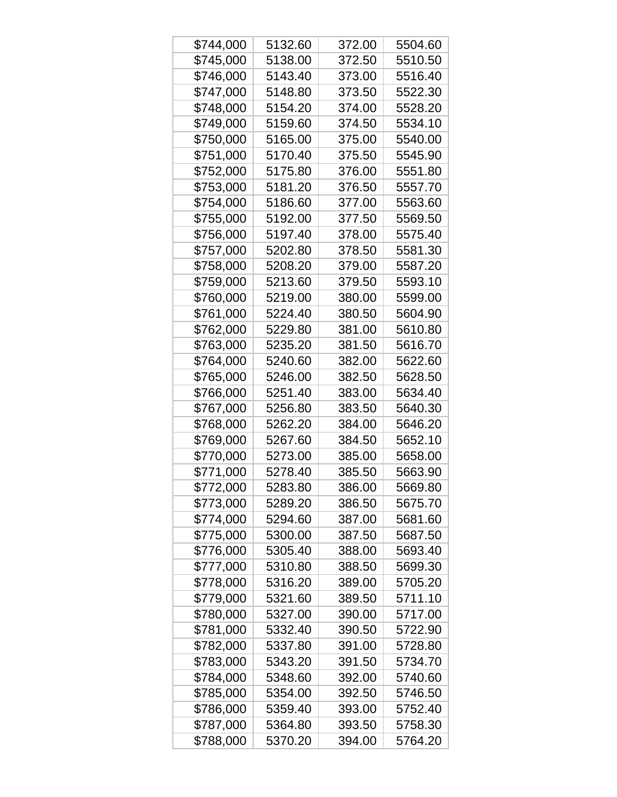| \$744,000 | 5132.60 | 372.00 | 5504.60 |
|-----------|---------|--------|---------|
| \$745,000 | 5138.00 | 372.50 | 5510.50 |
| \$746,000 | 5143.40 | 373.00 | 5516.40 |
| \$747,000 | 5148.80 | 373.50 | 5522.30 |
| \$748,000 | 5154.20 | 374.00 | 5528.20 |
| \$749,000 | 5159.60 | 374.50 | 5534.10 |
| \$750,000 | 5165.00 | 375.00 | 5540.00 |
| \$751,000 | 5170.40 | 375.50 | 5545.90 |
| \$752,000 | 5175.80 | 376.00 | 5551.80 |
| \$753,000 | 5181.20 | 376.50 | 5557.70 |
| \$754,000 | 5186.60 | 377.00 | 5563.60 |
| \$755,000 | 5192.00 | 377.50 | 5569.50 |
| \$756,000 | 5197.40 | 378.00 | 5575.40 |
| \$757,000 | 5202.80 | 378.50 | 5581.30 |
| \$758,000 | 5208.20 | 379.00 | 5587.20 |
| \$759,000 | 5213.60 | 379.50 | 5593.10 |
| \$760,000 | 5219.00 | 380.00 | 5599.00 |
| \$761,000 | 5224.40 | 380.50 | 5604.90 |
| \$762,000 | 5229.80 | 381.00 | 5610.80 |
| \$763,000 | 5235.20 | 381.50 | 5616.70 |
| \$764,000 | 5240.60 | 382.00 | 5622.60 |
| \$765,000 | 5246.00 | 382.50 | 5628.50 |
| \$766,000 | 5251.40 | 383.00 | 5634.40 |
| \$767,000 | 5256.80 | 383.50 | 5640.30 |
| \$768,000 | 5262.20 | 384.00 | 5646.20 |
| \$769,000 | 5267.60 | 384.50 | 5652.10 |
| \$770,000 | 5273.00 | 385.00 | 5658.00 |
| \$771,000 | 5278.40 | 385.50 | 5663.90 |
| \$772,000 | 5283.80 | 386.00 | 5669.80 |
| \$773,000 | 5289.20 | 386.50 | 5675.70 |
| \$774,000 | 5294.60 | 387.00 | 5681.60 |
| \$775,000 | 5300.00 | 387.50 | 5687.50 |
| \$776,000 | 5305.40 | 388.00 | 5693.40 |
| \$777,000 | 5310.80 | 388.50 | 5699.30 |
| \$778,000 | 5316.20 | 389.00 | 5705.20 |
| \$779,000 | 5321.60 | 389.50 | 5711.10 |
| \$780,000 | 5327.00 | 390.00 | 5717.00 |
| \$781,000 | 5332.40 | 390.50 | 5722.90 |
| \$782,000 | 5337.80 | 391.00 | 5728.80 |
| \$783,000 | 5343.20 | 391.50 | 5734.70 |
| \$784,000 | 5348.60 | 392.00 | 5740.60 |
| \$785,000 | 5354.00 | 392.50 | 5746.50 |
| \$786,000 | 5359.40 | 393.00 | 5752.40 |
| \$787,000 | 5364.80 | 393.50 | 5758.30 |
| \$788,000 | 5370.20 | 394.00 | 5764.20 |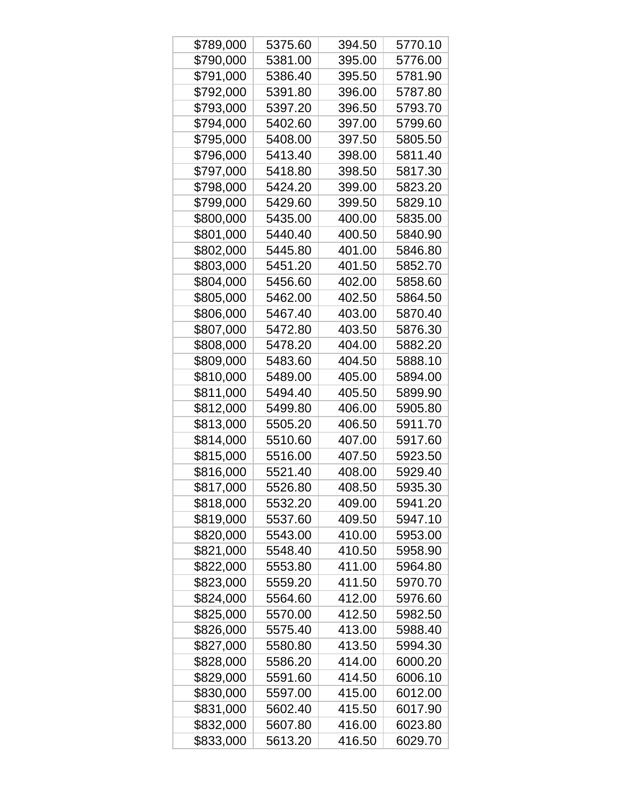| \$789,000 | 5375.60 | 394.50 | 5770.10 |
|-----------|---------|--------|---------|
| \$790,000 | 5381.00 | 395.00 | 5776.00 |
| \$791,000 | 5386.40 | 395.50 | 5781.90 |
| \$792,000 | 5391.80 | 396.00 | 5787.80 |
| \$793,000 | 5397.20 | 396.50 | 5793.70 |
| \$794,000 | 5402.60 | 397.00 | 5799.60 |
| \$795,000 | 5408.00 | 397.50 | 5805.50 |
| \$796,000 | 5413.40 | 398.00 | 5811.40 |
| \$797,000 | 5418.80 | 398.50 | 5817.30 |
| \$798,000 | 5424.20 | 399.00 | 5823.20 |
| \$799,000 | 5429.60 | 399.50 | 5829.10 |
| \$800,000 | 5435.00 | 400.00 | 5835.00 |
| \$801,000 | 5440.40 | 400.50 | 5840.90 |
| \$802,000 | 5445.80 | 401.00 | 5846.80 |
| \$803,000 | 5451.20 | 401.50 | 5852.70 |
| \$804,000 | 5456.60 | 402.00 | 5858.60 |
| \$805,000 | 5462.00 | 402.50 | 5864.50 |
| \$806,000 | 5467.40 | 403.00 | 5870.40 |
| \$807,000 | 5472.80 | 403.50 | 5876.30 |
| \$808,000 | 5478.20 | 404.00 | 5882.20 |
| \$809,000 | 5483.60 | 404.50 | 5888.10 |
| \$810,000 | 5489.00 | 405.00 | 5894.00 |
| \$811,000 | 5494.40 | 405.50 | 5899.90 |
| \$812,000 | 5499.80 | 406.00 | 5905.80 |
| \$813,000 | 5505.20 | 406.50 | 5911.70 |
| \$814,000 | 5510.60 | 407.00 | 5917.60 |
| \$815,000 | 5516.00 | 407.50 | 5923.50 |
| \$816,000 | 5521.40 | 408.00 | 5929.40 |
| \$817,000 | 5526.80 | 408.50 | 5935.30 |
| \$818,000 | 5532.20 | 409.00 | 5941.20 |
| \$819,000 | 5537.60 | 409.50 | 5947.10 |
| \$820,000 | 5543.00 | 410.00 | 5953.00 |
| \$821,000 | 5548.40 | 410.50 | 5958.90 |
| \$822,000 | 5553.80 | 411.00 | 5964.80 |
| \$823,000 | 5559.20 | 411.50 | 5970.70 |
| \$824,000 | 5564.60 | 412.00 | 5976.60 |
| \$825,000 | 5570.00 | 412.50 | 5982.50 |
| \$826,000 | 5575.40 | 413.00 | 5988.40 |
| \$827,000 | 5580.80 | 413.50 | 5994.30 |
| \$828,000 | 5586.20 | 414.00 | 6000.20 |
| \$829,000 | 5591.60 | 414.50 | 6006.10 |
| \$830,000 | 5597.00 | 415.00 | 6012.00 |
| \$831,000 | 5602.40 | 415.50 | 6017.90 |
| \$832,000 | 5607.80 | 416.00 | 6023.80 |
| \$833,000 | 5613.20 | 416.50 | 6029.70 |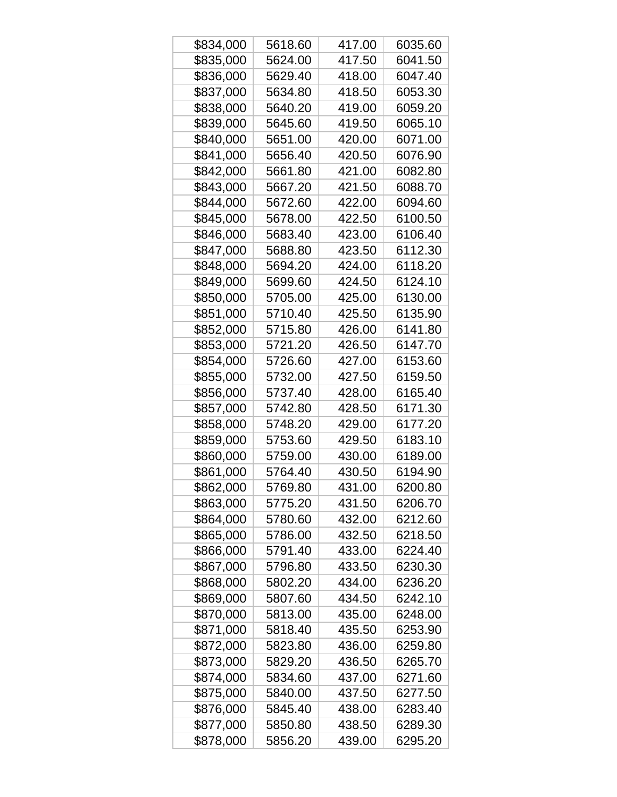| \$834,000 | 5618.60 | 417.00 | 6035.60 |
|-----------|---------|--------|---------|
| \$835,000 | 5624.00 | 417.50 | 6041.50 |
| \$836,000 | 5629.40 | 418.00 | 6047.40 |
| \$837,000 | 5634.80 | 418.50 | 6053.30 |
| \$838,000 | 5640.20 | 419.00 | 6059.20 |
| \$839,000 | 5645.60 | 419.50 | 6065.10 |
| \$840,000 | 5651.00 | 420.00 | 6071.00 |
| \$841,000 | 5656.40 | 420.50 | 6076.90 |
| \$842,000 | 5661.80 | 421.00 | 6082.80 |
| \$843,000 | 5667.20 | 421.50 | 6088.70 |
| \$844,000 | 5672.60 | 422.00 | 6094.60 |
| \$845,000 | 5678.00 | 422.50 | 6100.50 |
| \$846,000 | 5683.40 | 423.00 | 6106.40 |
| \$847,000 | 5688.80 | 423.50 | 6112.30 |
| \$848,000 | 5694.20 | 424.00 | 6118.20 |
| \$849,000 | 5699.60 | 424.50 | 6124.10 |
| \$850,000 | 5705.00 | 425.00 | 6130.00 |
| \$851,000 | 5710.40 | 425.50 | 6135.90 |
| \$852,000 | 5715.80 | 426.00 | 6141.80 |
| \$853,000 | 5721.20 | 426.50 | 6147.70 |
| \$854,000 | 5726.60 | 427.00 | 6153.60 |
| \$855,000 | 5732.00 | 427.50 | 6159.50 |
| \$856,000 | 5737.40 | 428.00 | 6165.40 |
| \$857,000 | 5742.80 | 428.50 | 6171.30 |
| \$858,000 | 5748.20 | 429.00 | 6177.20 |
| \$859,000 | 5753.60 | 429.50 | 6183.10 |
| \$860,000 | 5759.00 | 430.00 | 6189.00 |
| \$861,000 | 5764.40 | 430.50 | 6194.90 |
| \$862,000 | 5769.80 | 431.00 | 6200.80 |
| \$863,000 | 5775.20 | 431.50 | 6206.70 |
| \$864,000 | 5780.60 | 432.00 | 6212.60 |
| \$865,000 | 5786.00 | 432.50 | 6218.50 |
| \$866,000 | 5791.40 | 433.00 | 6224.40 |
| \$867,000 | 5796.80 | 433.50 | 6230.30 |
| \$868,000 | 5802.20 | 434.00 | 6236.20 |
| \$869,000 | 5807.60 | 434.50 | 6242.10 |
| \$870,000 | 5813.00 | 435.00 | 6248.00 |
| \$871,000 | 5818.40 | 435.50 | 6253.90 |
| \$872,000 | 5823.80 | 436.00 | 6259.80 |
| \$873,000 | 5829.20 | 436.50 | 6265.70 |
| \$874,000 | 5834.60 | 437.00 | 6271.60 |
| \$875,000 | 5840.00 | 437.50 | 6277.50 |
| \$876,000 | 5845.40 | 438.00 | 6283.40 |
| \$877,000 | 5850.80 | 438.50 | 6289.30 |
| \$878,000 | 5856.20 | 439.00 | 6295.20 |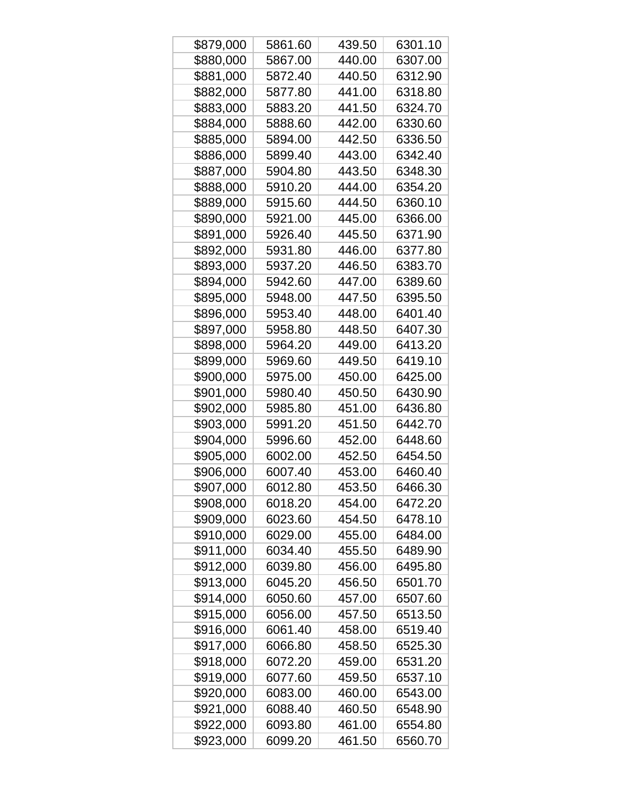| \$879,000 | 5861.60 | 439.50 | 6301.10 |
|-----------|---------|--------|---------|
| \$880,000 | 5867.00 | 440.00 | 6307.00 |
| \$881,000 | 5872.40 | 440.50 | 6312.90 |
| \$882,000 | 5877.80 | 441.00 | 6318.80 |
| \$883,000 | 5883.20 | 441.50 | 6324.70 |
| \$884,000 | 5888.60 | 442.00 | 6330.60 |
| \$885,000 | 5894.00 | 442.50 | 6336.50 |
| \$886,000 | 5899.40 | 443.00 | 6342.40 |
| \$887,000 | 5904.80 | 443.50 | 6348.30 |
| \$888,000 | 5910.20 | 444.00 | 6354.20 |
| \$889,000 | 5915.60 | 444.50 | 6360.10 |
| \$890,000 | 5921.00 | 445.00 | 6366.00 |
| \$891,000 | 5926.40 | 445.50 | 6371.90 |
| \$892,000 | 5931.80 | 446.00 | 6377.80 |
| \$893,000 | 5937.20 | 446.50 | 6383.70 |
| \$894,000 | 5942.60 | 447.00 | 6389.60 |
| \$895,000 | 5948.00 | 447.50 | 6395.50 |
| \$896,000 | 5953.40 | 448.00 | 6401.40 |
| \$897,000 | 5958.80 | 448.50 | 6407.30 |
| \$898,000 | 5964.20 | 449.00 | 6413.20 |
| \$899,000 | 5969.60 | 449.50 | 6419.10 |
| \$900,000 | 5975.00 | 450.00 | 6425.00 |
| \$901,000 | 5980.40 | 450.50 | 6430.90 |
| \$902,000 | 5985.80 | 451.00 | 6436.80 |
| \$903,000 | 5991.20 | 451.50 | 6442.70 |
| \$904,000 | 5996.60 | 452.00 | 6448.60 |
| \$905,000 | 6002.00 | 452.50 | 6454.50 |
| \$906,000 | 6007.40 | 453.00 | 6460.40 |
| \$907,000 | 6012.80 | 453.50 | 6466.30 |
| \$908,000 | 6018.20 | 454.00 | 6472.20 |
| \$909,000 | 6023.60 | 454.50 | 6478.10 |
| \$910,000 | 6029.00 | 455.00 | 6484.00 |
| \$911,000 | 6034.40 | 455.50 | 6489.90 |
| \$912,000 | 6039.80 | 456.00 | 6495.80 |
| \$913,000 | 6045.20 | 456.50 | 6501.70 |
| \$914,000 | 6050.60 | 457.00 | 6507.60 |
| \$915,000 | 6056.00 | 457.50 | 6513.50 |
| \$916,000 | 6061.40 | 458.00 | 6519.40 |
| \$917,000 | 6066.80 | 458.50 | 6525.30 |
| \$918,000 | 6072.20 | 459.00 | 6531.20 |
| \$919,000 | 6077.60 | 459.50 | 6537.10 |
| \$920,000 | 6083.00 | 460.00 | 6543.00 |
| \$921,000 | 6088.40 | 460.50 | 6548.90 |
| \$922,000 | 6093.80 | 461.00 | 6554.80 |
| \$923,000 | 6099.20 | 461.50 | 6560.70 |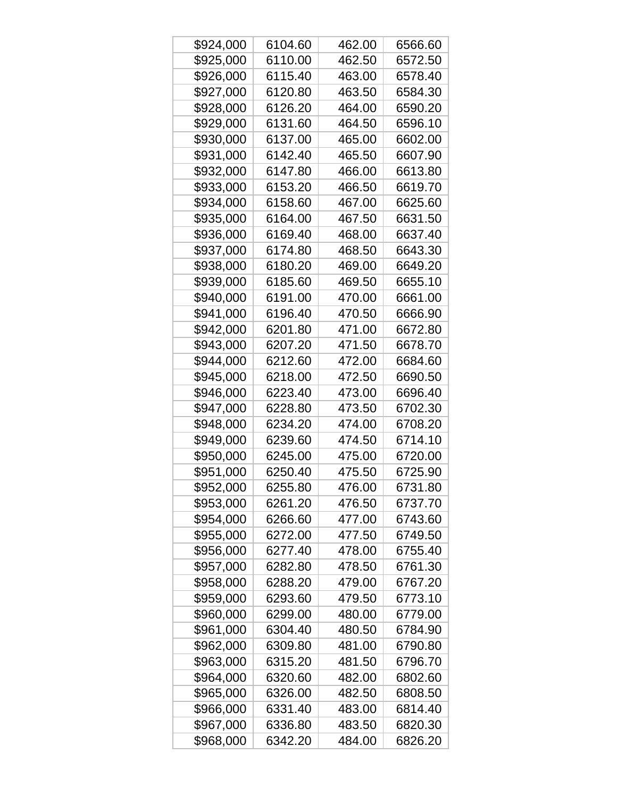| \$924,000 | 6104.60 | 462.00 | 6566.60 |
|-----------|---------|--------|---------|
| \$925,000 | 6110.00 | 462.50 | 6572.50 |
| \$926,000 | 6115.40 | 463.00 | 6578.40 |
| \$927,000 | 6120.80 | 463.50 | 6584.30 |
| \$928,000 | 6126.20 | 464.00 | 6590.20 |
| \$929,000 | 6131.60 | 464.50 | 6596.10 |
| \$930,000 | 6137.00 | 465.00 | 6602.00 |
| \$931,000 | 6142.40 | 465.50 | 6607.90 |
| \$932,000 | 6147.80 | 466.00 | 6613.80 |
| \$933,000 | 6153.20 | 466.50 | 6619.70 |
| \$934,000 | 6158.60 | 467.00 | 6625.60 |
| \$935,000 | 6164.00 | 467.50 | 6631.50 |
| \$936,000 | 6169.40 | 468.00 | 6637.40 |
| \$937,000 | 6174.80 | 468.50 | 6643.30 |
| \$938,000 | 6180.20 | 469.00 | 6649.20 |
| \$939,000 | 6185.60 | 469.50 | 6655.10 |
| \$940,000 | 6191.00 | 470.00 | 6661.00 |
| \$941,000 | 6196.40 | 470.50 | 6666.90 |
| \$942,000 | 6201.80 | 471.00 | 6672.80 |
| \$943,000 | 6207.20 | 471.50 | 6678.70 |
| \$944,000 | 6212.60 | 472.00 | 6684.60 |
| \$945,000 | 6218.00 | 472.50 | 6690.50 |
| \$946,000 | 6223.40 | 473.00 | 6696.40 |
| \$947,000 | 6228.80 | 473.50 | 6702.30 |
| \$948,000 | 6234.20 | 474.00 | 6708.20 |
| \$949,000 | 6239.60 | 474.50 | 6714.10 |
| \$950,000 | 6245.00 | 475.00 | 6720.00 |
| \$951,000 | 6250.40 | 475.50 | 6725.90 |
| \$952,000 | 6255.80 | 476.00 | 6731.80 |
| \$953,000 | 6261.20 | 476.50 | 6737.70 |
| \$954,000 | 6266.60 | 477.00 | 6743.60 |
| \$955,000 | 6272.00 | 477.50 | 6749.50 |
| \$956,000 | 6277.40 | 478.00 | 6755.40 |
| \$957,000 | 6282.80 | 478.50 | 6761.30 |
| \$958,000 | 6288.20 | 479.00 | 6767.20 |
| \$959,000 | 6293.60 | 479.50 | 6773.10 |
| \$960,000 | 6299.00 | 480.00 | 6779.00 |
| \$961,000 | 6304.40 | 480.50 | 6784.90 |
| \$962,000 | 6309.80 | 481.00 | 6790.80 |
| \$963,000 | 6315.20 | 481.50 | 6796.70 |
| \$964,000 | 6320.60 | 482.00 | 6802.60 |
| \$965,000 | 6326.00 | 482.50 | 6808.50 |
| \$966,000 | 6331.40 | 483.00 | 6814.40 |
| \$967,000 | 6336.80 | 483.50 | 6820.30 |
| \$968,000 | 6342.20 | 484.00 | 6826.20 |